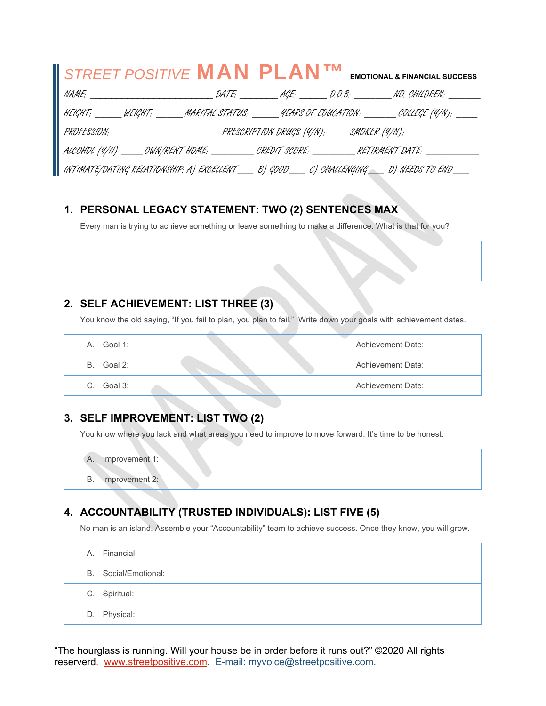| STREET POSITIVE <b>MAN PLAN<sup>TM</sup></b> EMOTIONAL & FINANCIAL SUCCESS                            |  |  |  |
|-------------------------------------------------------------------------------------------------------|--|--|--|
|                                                                                                       |  |  |  |
| HEIGHT: ______ WEIGHT: ______ MARITAL STATUS: ______ 4EARS OF EDUCATION: _______ COLLEGE (4/N): ____  |  |  |  |
|                                                                                                       |  |  |  |
| ALCOHOL (4/N) _____OWN/RENT HOME: __________CREDIT SCORE: __________RETIRMENT DATE: _____________     |  |  |  |
| INTIMATE/DATING RELATIONSHIP: A) EXCELLENT_______B) GDOD______C) CHALLENGING______D) NEEDS TO END____ |  |  |  |

### **1. PERSONAL LEGACY STATEMENT: TWO (2) SENTENCES MAX**

Every man is trying to achieve something or leave something to make a difference. What is that for you?

### **2. SELF ACHIEVEMENT: LIST THREE (3)**

You know the old saying, "If you fail to plan, you plan to fail." Write down your goals with achievement dates.

| Goal 1:<br>А. | Achievement Date: |
|---------------|-------------------|
| Goal 2:<br>B. | Achievement Date: |
| Goal 3:<br>C. | Achievement Date: |

### **3. SELF IMPROVEMENT: LIST TWO (2)**

You know where you lack and what areas you need to improve to move forward. It's time to be honest.

A. Improvement 1: B. Improvement 2:

# **4. ACCOUNTABILITY (TRUSTED INDIVIDUALS): LIST FIVE (5)**

No man is an island. Assemble your "Accountability" team to achieve success. Once they know, you will grow.

|  | A. Financial:        |
|--|----------------------|
|  | B. Social/Emotional: |
|  | C. Spiritual:        |
|  | D. Physical:         |

"The hourglass is running. Will your house be in order before it runs out?" ©2020 All rights reserverd. www.streetpositive.com. E-mail: myvoice@streetpositive.com.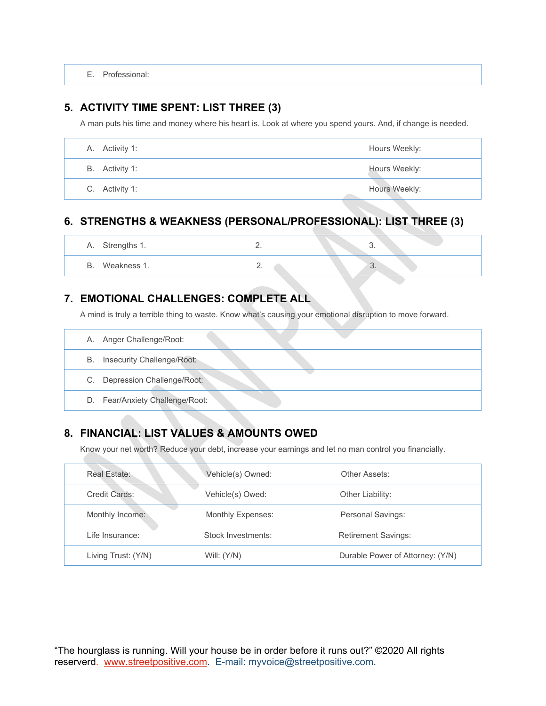E. Professional:

#### **5. ACTIVITY TIME SPENT: LIST THREE (3)**

A man puts his time and money where his heart is. Look at where you spend yours. And, if change is needed.

| A. Activity 1: | Hours Weekly: |
|----------------|---------------|
| B. Activity 1: | Hours Weekly: |
| C. Activity 1: | Hours Weekly: |

## **6. STRENGTHS & WEAKNESS (PERSONAL/PROFESSIONAL): LIST THREE (3)**

| Α. | Strengths 1. | <u>.</u> | <b>TANA</b> | U.                     | u) |
|----|--------------|----------|-------------|------------------------|----|
| b. | Weakness 1.  | <u>.</u> |             | <b>RAN</b><br>$\cup$ . |    |

## **7. EMOTIONAL CHALLENGES: COMPLETE ALL**

A mind is truly a terrible thing to waste. Know what's causing your emotional disruption to move forward.

|    | A. Anger Challenge/Root:        |
|----|---------------------------------|
| В. | Insecurity Challenge/Root:      |
|    | C. Depression Challenge/Root:   |
|    | D. Fear/Anxiety Challenge/Root: |

# **8. FINANCIAL: LIST VALUES & AMOUNTS OWED**

Know your net worth? Reduce your debt, increase your earnings and let no man control you financially.

| Real Estate:        | Vehicle(s) Owned:  | Other Assets:                    |
|---------------------|--------------------|----------------------------------|
| Credit Cards:       | Vehicle(s) Owed:   | Other Liability:                 |
| Monthly Income:     | Monthly Expenses:  | Personal Savings:                |
| Life Insurance:     | Stock Investments: | <b>Retirement Savings:</b>       |
| Living Trust: (Y/N) | Will: $(Y/N)$      | Durable Power of Attorney: (Y/N) |